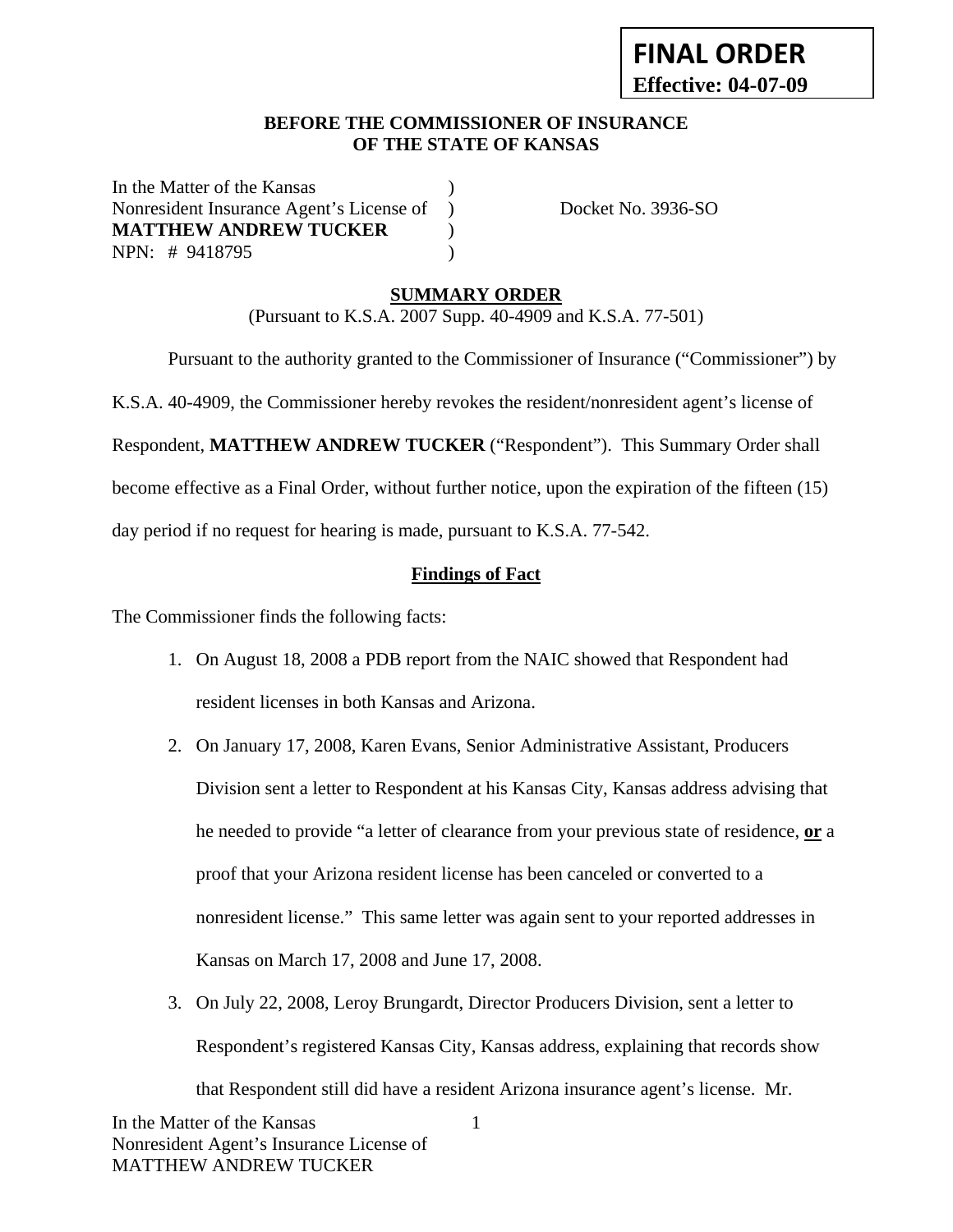### **BEFORE THE COMMISSIONER OF INSURANCE OF THE STATE OF KANSAS**

In the Matter of the Kansas Nonresident Insurance Agent's License of ) Docket No. 3936-SO **MATTHEW ANDREW TUCKER** ) NPN: # 9418795 )

## **SUMMARY ORDER**

(Pursuant to K.S.A. 2007 Supp. 40-4909 and K.S.A. 77-501)

Pursuant to the authority granted to the Commissioner of Insurance ("Commissioner") by

K.S.A. 40-4909, the Commissioner hereby revokes the resident/nonresident agent's license of

Respondent, **MATTHEW ANDREW TUCKER** ("Respondent"). This Summary Order shall

become effective as a Final Order, without further notice, upon the expiration of the fifteen (15)

day period if no request for hearing is made, pursuant to K.S.A. 77-542.

## **Findings of Fact**

The Commissioner finds the following facts:

- 1. On August 18, 2008 a PDB report from the NAIC showed that Respondent had resident licenses in both Kansas and Arizona.
- 2. On January 17, 2008, Karen Evans, Senior Administrative Assistant, Producers Division sent a letter to Respondent at his Kansas City, Kansas address advising that he needed to provide "a letter of clearance from your previous state of residence, **or** a proof that your Arizona resident license has been canceled or converted to a nonresident license." This same letter was again sent to your reported addresses in Kansas on March 17, 2008 and June 17, 2008.
- 3. On July 22, 2008, Leroy Brungardt, Director Producers Division, sent a letter to Respondent's registered Kansas City, Kansas address, explaining that records show that Respondent still did have a resident Arizona insurance agent's license. Mr.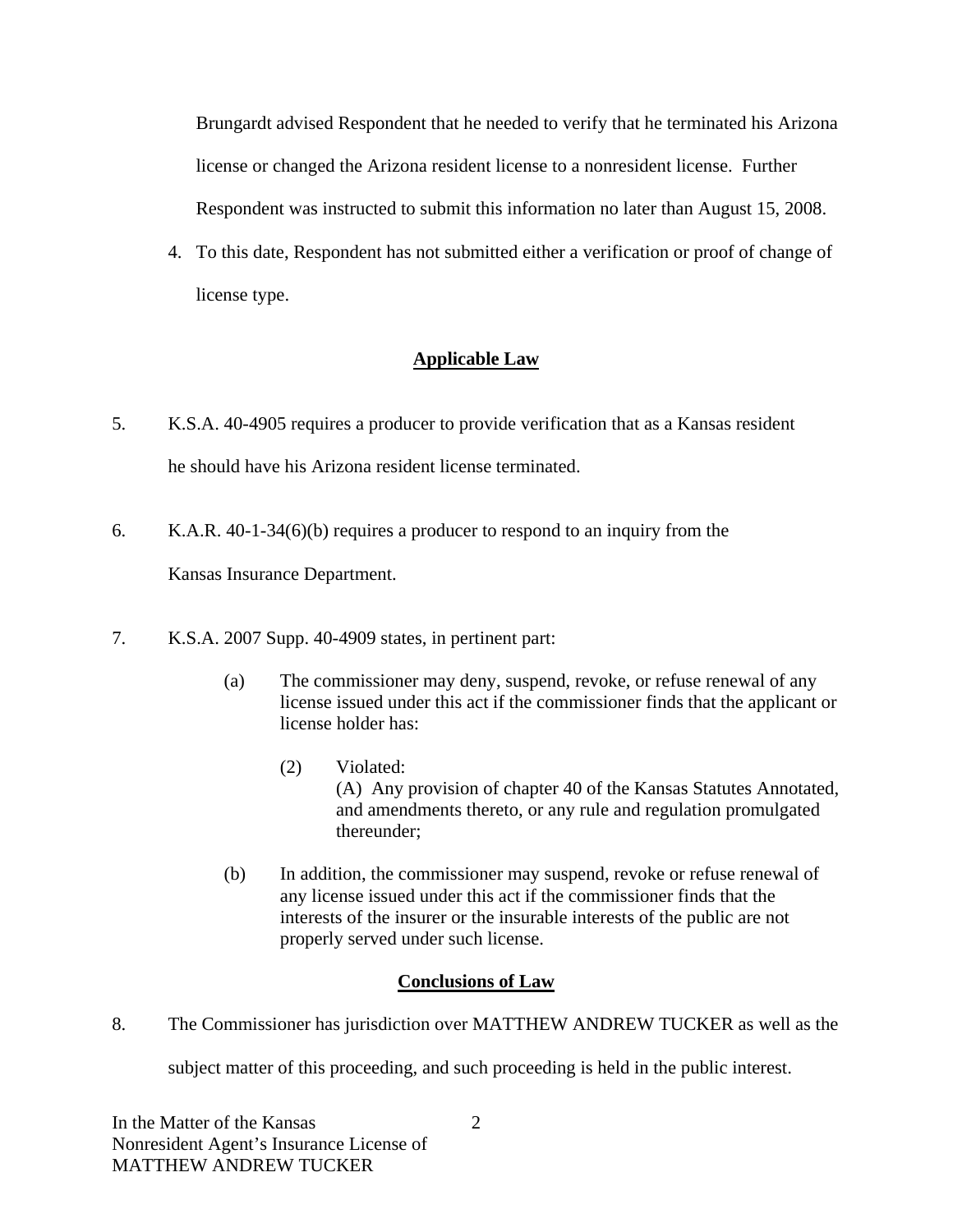Brungardt advised Respondent that he needed to verify that he terminated his Arizona license or changed the Arizona resident license to a nonresident license. Further Respondent was instructed to submit this information no later than August 15, 2008.

4. To this date, Respondent has not submitted either a verification or proof of change of license type.

# **Applicable Law**

- 5. K.S.A. 40-4905 requires a producer to provide verification that as a Kansas resident he should have his Arizona resident license terminated.
- 6. K.A.R. 40-1-34(6)(b) requires a producer to respond to an inquiry from the

Kansas Insurance Department.

- 7. K.S.A. 2007 Supp. 40-4909 states, in pertinent part:
	- (a) The commissioner may deny, suspend, revoke, or refuse renewal of any license issued under this act if the commissioner finds that the applicant or license holder has:
		- (2) Violated: (A) Any provision of chapter 40 of the Kansas Statutes Annotated, and amendments thereto, or any rule and regulation promulgated thereunder;
	- (b) In addition, the commissioner may suspend, revoke or refuse renewal of any license issued under this act if the commissioner finds that the interests of the insurer or the insurable interests of the public are not properly served under such license.

## **Conclusions of Law**

8. The Commissioner has jurisdiction over MATTHEW ANDREW TUCKER as well as the

subject matter of this proceeding, and such proceeding is held in the public interest.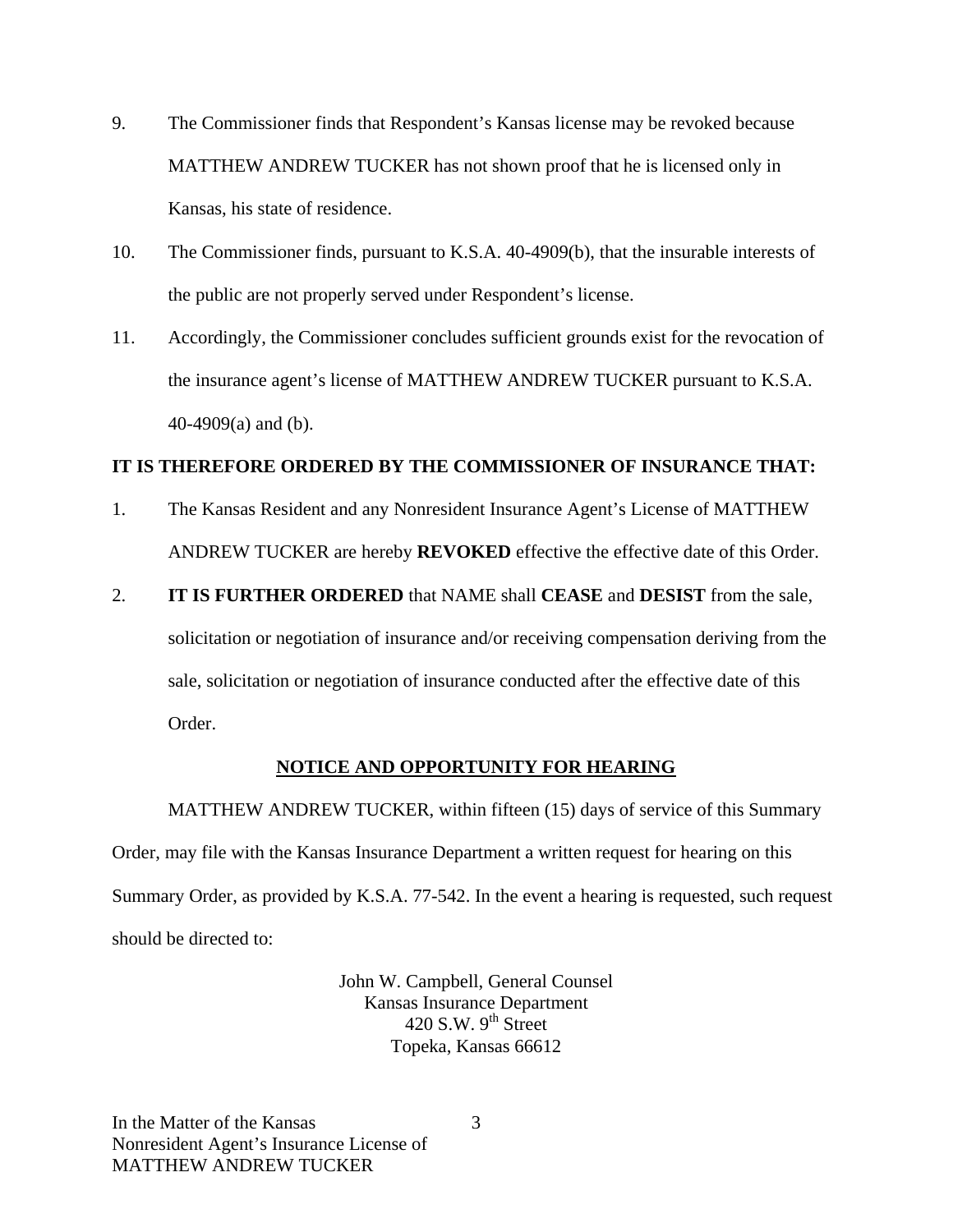- 9. The Commissioner finds that Respondent's Kansas license may be revoked because MATTHEW ANDREW TUCKER has not shown proof that he is licensed only in Kansas, his state of residence.
- 10. The Commissioner finds, pursuant to K.S.A. 40-4909(b), that the insurable interests of the public are not properly served under Respondent's license.
- 11. Accordingly, the Commissioner concludes sufficient grounds exist for the revocation of the insurance agent's license of MATTHEW ANDREW TUCKER pursuant to K.S.A. 40-4909(a) and (b).

### **IT IS THEREFORE ORDERED BY THE COMMISSIONER OF INSURANCE THAT:**

1. The Kansas Resident and any Nonresident Insurance Agent's License of MATTHEW ANDREW TUCKER are hereby **REVOKED** effective the effective date of this Order.

#### 2. **IT IS FURTHER ORDERED** that NAME shall **CEASE** and **DESIST** from the sale,

solicitation or negotiation of insurance and/or receiving compensation deriving from the sale, solicitation or negotiation of insurance conducted after the effective date of this Order.

## **NOTICE AND OPPORTUNITY FOR HEARING**

MATTHEW ANDREW TUCKER, within fifteen (15) days of service of this Summary Order, may file with the Kansas Insurance Department a written request for hearing on this Summary Order, as provided by K.S.A. 77-542. In the event a hearing is requested, such request should be directed to:

> John W. Campbell, General Counsel Kansas Insurance Department 420 S.W.  $9^{th}$  Street Topeka, Kansas 66612

3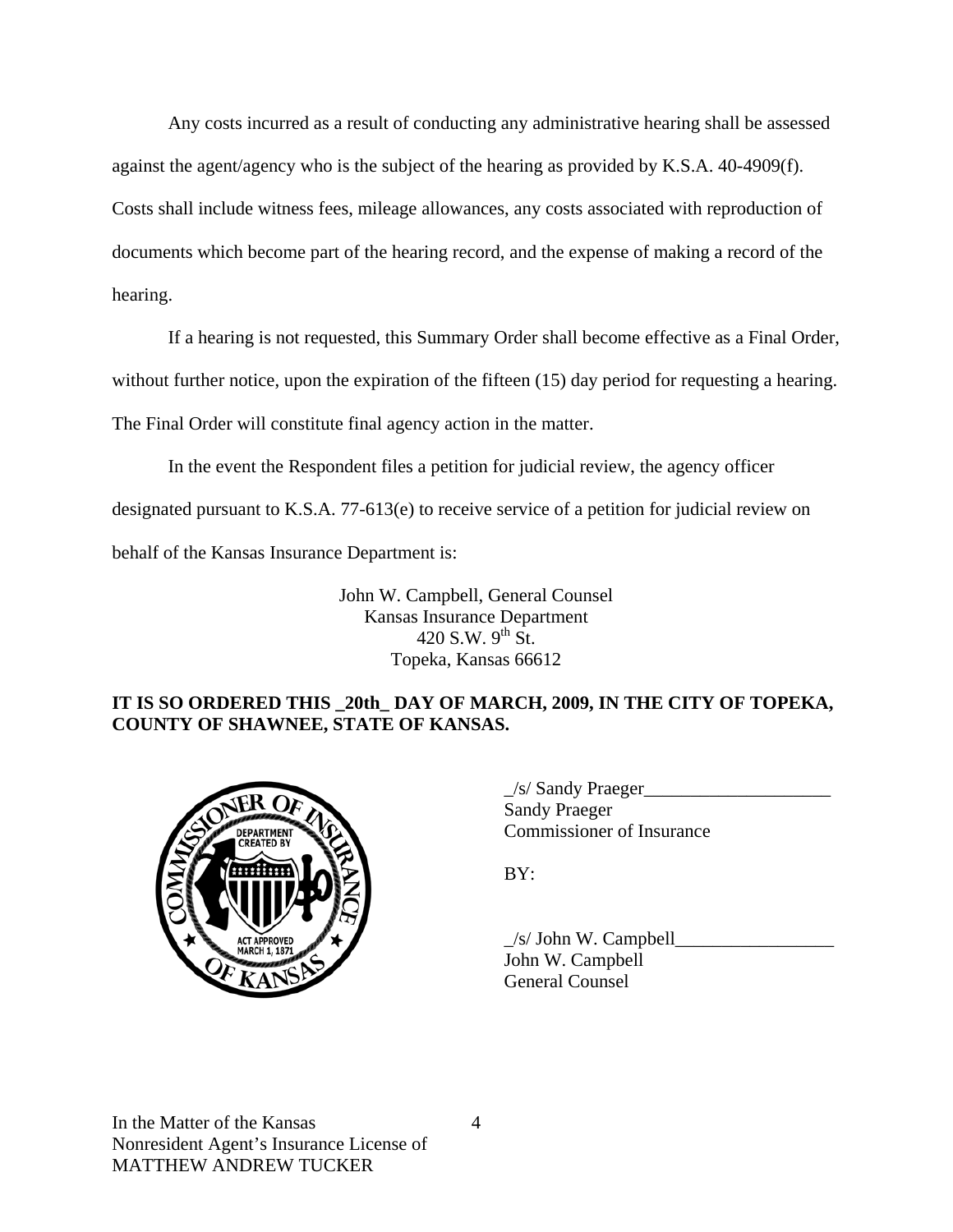Any costs incurred as a result of conducting any administrative hearing shall be assessed against the agent/agency who is the subject of the hearing as provided by K.S.A. 40-4909(f). Costs shall include witness fees, mileage allowances, any costs associated with reproduction of documents which become part of the hearing record, and the expense of making a record of the hearing.

If a hearing is not requested, this Summary Order shall become effective as a Final Order, without further notice, upon the expiration of the fifteen (15) day period for requesting a hearing. The Final Order will constitute final agency action in the matter.

In the event the Respondent files a petition for judicial review, the agency officer designated pursuant to K.S.A. 77-613(e) to receive service of a petition for judicial review on behalf of the Kansas Insurance Department is:

> John W. Campbell, General Counsel Kansas Insurance Department 420 S.W.  $9^{th}$  St. Topeka, Kansas 66612

## **IT IS SO ORDERED THIS \_20th\_ DAY OF MARCH, 2009, IN THE CITY OF TOPEKA, COUNTY OF SHAWNEE, STATE OF KANSAS.**



 \_/s/ Sandy Praeger\_\_\_\_\_\_\_\_\_\_\_\_\_\_\_\_\_\_\_\_ Sandy Praeger ARTMENT Commissioner of Insurance

 $\angle$ /s/ John W. Campbell $\angle$  John W. Campbell General Counsel

In the Matter of the Kansas Nonresident Agent's Insurance License of MATTHEW ANDREW TUCKER